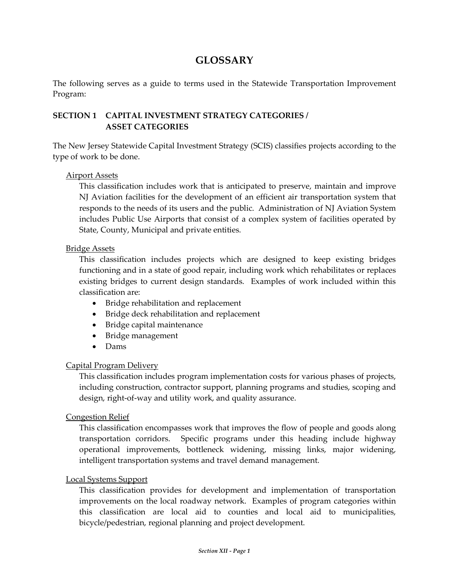# **GLOSSARY**

The following serves as a guide to terms used in the Statewide Transportation Improvement Program:

## **SECTION 1 CAPITAL INVESTMENT STRATEGY CATEGORIES / ASSET CATEGORIES**

The New Jersey Statewide Capital Investment Strategy (SCIS) classifies projects according to the type of work to be done.

## Airport Assets

This classification includes work that is anticipated to preserve, maintain and improve NJ Aviation facilities for the development of an efficient air transportation system that responds to the needs of its users and the public. Administration of NJ Aviation System includes Public Use Airports that consist of a complex system of facilities operated by State, County, Municipal and private entities.

## Bridge Assets

This classification includes projects which are designed to keep existing bridges functioning and in a state of good repair, including work which rehabilitates or replaces existing bridges to current design standards. Examples of work included within this classification are:

- Bridge rehabilitation and replacement
- Bridge deck rehabilitation and replacement
- Bridge capital maintenance
- Bridge management
- Dams

## Capital Program Delivery

This classification includes program implementation costs for various phases of projects, including construction, contractor support, planning programs and studies, scoping and design, right‐of‐way and utility work, and quality assurance.

## Congestion Relief

This classification encompasses work that improves the flow of people and goods along transportation corridors. Specific programs under this heading include highway operational improvements, bottleneck widening, missing links, major widening, intelligent transportation systems and travel demand management.

## Local Systems Support

This classification provides for development and implementation of transportation improvements on the local roadway network. Examples of program categories within this classification are local aid to counties and local aid to municipalities, bicycle/pedestrian, regional planning and project development.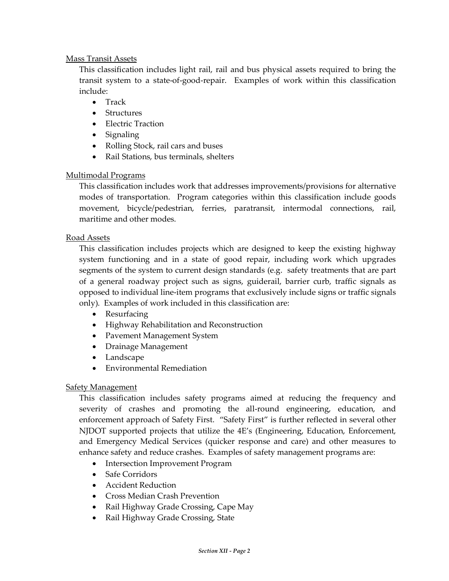## Mass Transit Assets

This classification includes light rail, rail and bus physical assets required to bring the transit system to a state‐of‐good‐repair. Examples of work within this classification include:

- Track
- Structures
- Electric Traction
- Signaling
- Rolling Stock, rail cars and buses
- Rail Stations, bus terminals, shelters

## Multimodal Programs

This classification includes work that addresses improvements/provisions for alternative modes of transportation. Program categories within this classification include goods movement, bicycle/pedestrian, ferries, paratransit, intermodal connections, rail, maritime and other modes.

## Road Assets

This classification includes projects which are designed to keep the existing highway system functioning and in a state of good repair, including work which upgrades segments of the system to current design standards (e.g. safety treatments that are part of a general roadway project such as signs, guiderail, barrier curb, traffic signals as opposed to individual line‐item programs that exclusively include signs or traffic signals only). Examples of work included in this classification are:

- Resurfacing
- Highway Rehabilitation and Reconstruction
- Pavement Management System
- Drainage Management
- Landscape
- Environmental Remediation

## Safety Management

This classification includes safety programs aimed at reducing the frequency and severity of crashes and promoting the all-round engineering, education, and enforcement approach of Safety First. "Safety First" is further reflected in several other NJDOT supported projects that utilize the 4E's (Engineering, Education, Enforcement, and Emergency Medical Services (quicker response and care) and other measures to enhance safety and reduce crashes. Examples of safety management programs are:

- Intersection Improvement Program
- Safe Corridors
- Accident Reduction
- Cross Median Crash Prevention
- Rail Highway Grade Crossing, Cape May
- Rail Highway Grade Crossing, State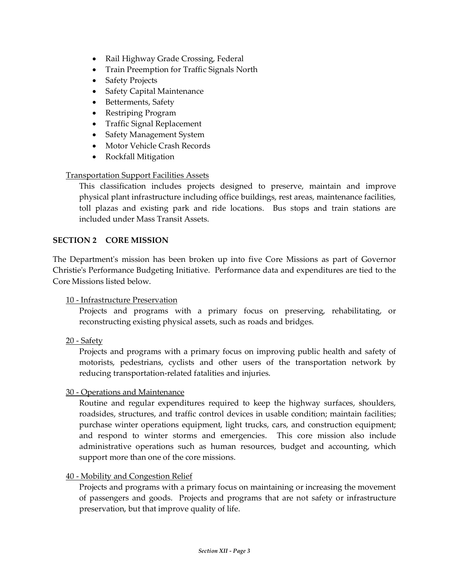- Rail Highway Grade Crossing, Federal
- Train Preemption for Traffic Signals North
- Safety Projects
- Safety Capital Maintenance
- Betterments, Safety
- Restriping Program
- Traffic Signal Replacement
- Safety Management System
- Motor Vehicle Crash Records
- Rockfall Mitigation

## Transportation Support Facilities Assets

This classification includes projects designed to preserve, maintain and improve physical plant infrastructure including office buildings, rest areas, maintenance facilities, toll plazas and existing park and ride locations. Bus stops and train stations are included under Mass Transit Assets.

## **SECTION 2 CORE MISSION**

The Department's mission has been broken up into five Core Missions as part of Governor Christieʹs Performance Budgeting Initiative. Performance data and expenditures are tied to the Core Missions listed below.

## 10 ‐ Infrastructure Preservation

Projects and programs with a primary focus on preserving, rehabilitating, or reconstructing existing physical assets, such as roads and bridges.

20 ‐ Safety

Projects and programs with a primary focus on improving public health and safety of motorists, pedestrians, cyclists and other users of the transportation network by reducing transportation‐related fatalities and injuries.

## 30 ‐ Operations and Maintenance

Routine and regular expenditures required to keep the highway surfaces, shoulders, roadsides, structures, and traffic control devices in usable condition; maintain facilities; purchase winter operations equipment, light trucks, cars, and construction equipment; and respond to winter storms and emergencies. This core mission also include administrative operations such as human resources, budget and accounting, which support more than one of the core missions.

## 40 ‐ Mobility and Congestion Relief

Projects and programs with a primary focus on maintaining or increasing the movement of passengers and goods. Projects and programs that are not safety or infrastructure preservation, but that improve quality of life.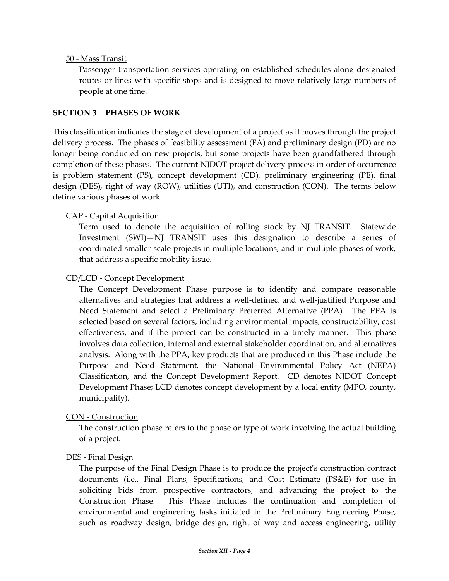## 50 ‐ Mass Transit

Passenger transportation services operating on established schedules along designated routes or lines with specific stops and is designed to move relatively large numbers of people at one time.

#### **SECTION 3 PHASES OF WORK**

This classification indicates the stage of development of a project as it moves through the project delivery process. The phases of feasibility assessment (FA) and preliminary design (PD) are no longer being conducted on new projects, but some projects have been grandfathered through completion of these phases. The current NJDOT project delivery process in order of occurrence is problem statement (PS), concept development (CD), preliminary engineering (PE), final design (DES), right of way (ROW), utilities (UTI), and construction (CON). The terms below define various phases of work.

## CAP ‐ Capital Acquisition

Term used to denote the acquisition of rolling stock by NJ TRANSIT. Statewide Investment (SWI)—NJ TRANSIT uses this designation to describe a series of coordinated smaller‐scale projects in multiple locations, and in multiple phases of work, that address a specific mobility issue.

#### CD/LCD ‐ Concept Development

The Concept Development Phase purpose is to identify and compare reasonable alternatives and strategies that address a well‐defined and well‐justified Purpose and Need Statement and select a Preliminary Preferred Alternative (PPA). The PPA is selected based on several factors, including environmental impacts, constructability, cost effectiveness, and if the project can be constructed in a timely manner. This phase involves data collection, internal and external stakeholder coordination, and alternatives analysis. Along with the PPA, key products that are produced in this Phase include the Purpose and Need Statement, the National Environmental Policy Act (NEPA) Classification, and the Concept Development Report. CD denotes NJDOT Concept Development Phase; LCD denotes concept development by a local entity (MPO, county, municipality).

## CON ‐ Construction

The construction phase refers to the phase or type of work involving the actual building of a project.

#### DES ‐ Final Design

The purpose of the Final Design Phase is to produce the project's construction contract documents (i.e., Final Plans, Specifications, and Cost Estimate (PS&E) for use in soliciting bids from prospective contractors, and advancing the project to the Construction Phase. This Phase includes the continuation and completion of environmental and engineering tasks initiated in the Preliminary Engineering Phase, such as roadway design, bridge design, right of way and access engineering, utility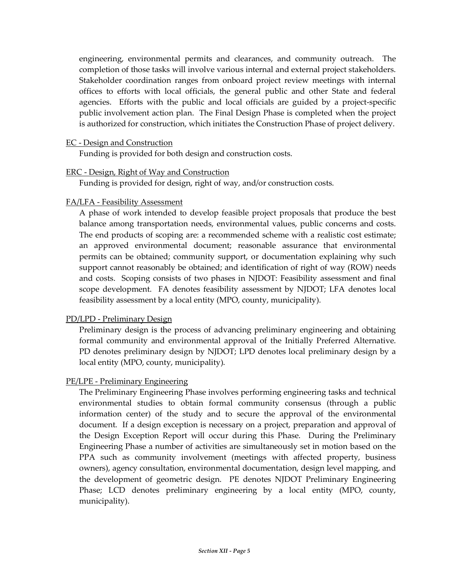engineering, environmental permits and clearances, and community outreach. The completion of those tasks will involve various internal and external project stakeholders. Stakeholder coordination ranges from onboard project review meetings with internal offices to efforts with local officials, the general public and other State and federal agencies. Efforts with the public and local officials are guided by a project-specific public involvement action plan. The Final Design Phase is completed when the project is authorized for construction, which initiates the Construction Phase of project delivery.

#### EC ‐ Design and Construction

Funding is provided for both design and construction costs.

#### ERC ‐ Design, Right of Way and Construction

Funding is provided for design, right of way, and/or construction costs.

## FA/LFA ‐ Feasibility Assessment

A phase of work intended to develop feasible project proposals that produce the best balance among transportation needs, environmental values, public concerns and costs. The end products of scoping are: a recommended scheme with a realistic cost estimate; an approved environmental document; reasonable assurance that environmental permits can be obtained; community support, or documentation explaining why such support cannot reasonably be obtained; and identification of right of way (ROW) needs and costs. Scoping consists of two phases in NJDOT: Feasibility assessment and final scope development. FA denotes feasibility assessment by NJDOT; LFA denotes local feasibility assessment by a local entity (MPO, county, municipality).

## PD/LPD ‐ Preliminary Design

Preliminary design is the process of advancing preliminary engineering and obtaining formal community and environmental approval of the Initially Preferred Alternative. PD denotes preliminary design by NJDOT; LPD denotes local preliminary design by a local entity (MPO, county, municipality).

## PE/LPE ‐ Preliminary Engineering

The Preliminary Engineering Phase involves performing engineering tasks and technical environmental studies to obtain formal community consensus (through a public information center) of the study and to secure the approval of the environmental document. If a design exception is necessary on a project, preparation and approval of the Design Exception Report will occur during this Phase. During the Preliminary Engineering Phase a number of activities are simultaneously set in motion based on the PPA such as community involvement (meetings with affected property, business owners), agency consultation, environmental documentation, design level mapping, and the development of geometric design. PE denotes NJDOT Preliminary Engineering Phase; LCD denotes preliminary engineering by a local entity (MPO, county, municipality).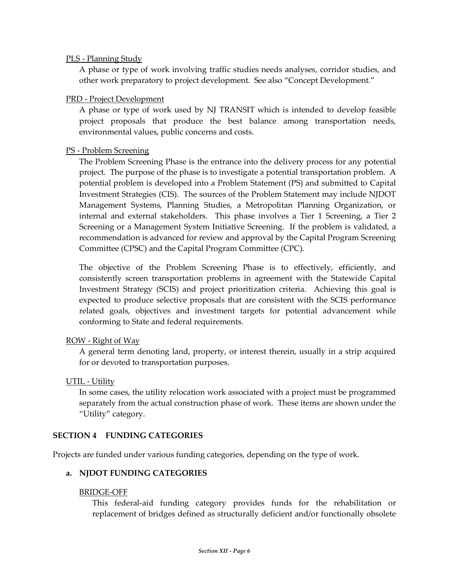## PLS ‐ Planning Study

A phase or type of work involving traffic studies needs analyses, corridor studies, and other work preparatory to project development. See also "Concept Development."

#### PRD ‐ Project Development

A phase or type of work used by NJ TRANSIT which is intended to develop feasible project proposals that produce the best balance among transportation needs, environmental values, public concerns and costs.

#### PS ‐ Problem Screening

The Problem Screening Phase is the entrance into the delivery process for any potential project. The purpose of the phase is to investigate a potential transportation problem. A potential problem is developed into a Problem Statement (PS) and submitted to Capital Investment Strategies (CIS). The sources of the Problem Statement may include NJDOT Management Systems, Planning Studies, a Metropolitan Planning Organization, or internal and external stakeholders. This phase involves a Tier 1 Screening, a Tier 2 Screening or a Management System Initiative Screening. If the problem is validated, a recommendation is advanced for review and approval by the Capital Program Screening Committee (CPSC) and the Capital Program Committee (CPC).

The objective of the Problem Screening Phase is to effectively, efficiently, and consistently screen transportation problems in agreement with the Statewide Capital Investment Strategy (SCIS) and project prioritization criteria. Achieving this goal is expected to produce selective proposals that are consistent with the SCIS performance related goals, objectives and investment targets for potential advancement while conforming to State and federal requirements.

## ROW ‐ Right of Way

A general term denoting land, property, or interest therein, usually in a strip acquired for or devoted to transportation purposes.

## UTIL ‐ Utility

In some cases, the utility relocation work associated with a project must be programmed separately from the actual construction phase of work. These items are shown under the "Utility" category.

#### **SECTION 4 FUNDING CATEGORIES**

Projects are funded under various funding categories, depending on the type of work.

## **a. NJDOT FUNDING CATEGORIES**

#### BRIDGE‐OFF

This federal-aid funding category provides funds for the rehabilitation or replacement of bridges defined as structurally deficient and/or functionally obsolete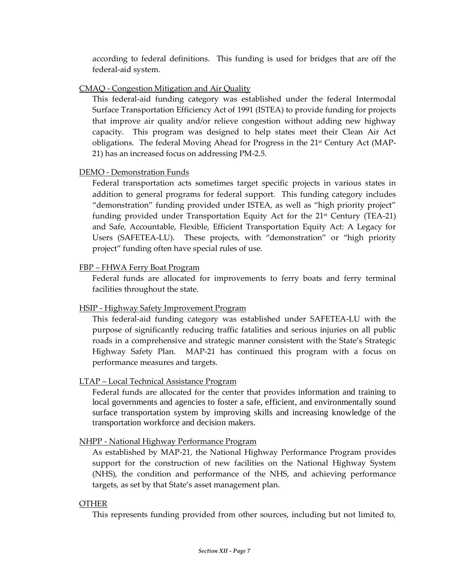according to federal definitions. This funding is used for bridges that are off the federal‐aid system.

## CMAQ ‐ Congestion Mitigation and Air Quality

This federal-aid funding category was established under the federal Intermodal Surface Transportation Efficiency Act of 1991 (ISTEA) to provide funding for projects that improve air quality and/or relieve congestion without adding new highway capacity. This program was designed to help states meet their Clean Air Act obligations. The federal Moving Ahead for Progress in the 21<sup>st</sup> Century Act (MAP-21) has an increased focus on addressing PM‐2.5.

## DEMO ‐ Demonstration Funds

Federal transportation acts sometimes target specific projects in various states in addition to general programs for federal support. This funding category includes "demonstration" funding provided under ISTEA, as well as "high priority project" funding provided under Transportation Equity Act for the  $21<sup>st</sup>$  Century (TEA-21) and Safe, Accountable, Flexible, Efficient Transportation Equity Act: A Legacy for Users (SAFETEA-LU). These projects, with "demonstration" or "high priority project" funding often have special rules of use.

## FBP – FHWA Ferry Boat Program

Federal funds are allocated for improvements to ferry boats and ferry terminal facilities throughout the state.

## HSIP ‐ Highway Safety Improvement Program

This federal‐aid funding category was established under SAFETEA‐LU with the purpose of significantly reducing traffic fatalities and serious injuries on all public roads in a comprehensive and strategic manner consistent with the State's Strategic Highway Safety Plan. MAP-21 has continued this program with a focus on performance measures and targets.

## LTAP – Local Technical Assistance Program

Federal funds are allocated for the center that provides information and training to local governments and agencies to foster a safe, efficient, and environmentally sound surface transportation system by improving skills and increasing knowledge of the transportation workforce and decision makers.

## NHPP ‐ National Highway Performance Program

As established by MAP‐21, the National Highway Performance Program provides support for the construction of new facilities on the National Highway System (NHS), the condition and performance of the NHS, and achieving performance targets, as set by that State's asset management plan.

## OTHER

This represents funding provided from other sources, including but not limited to,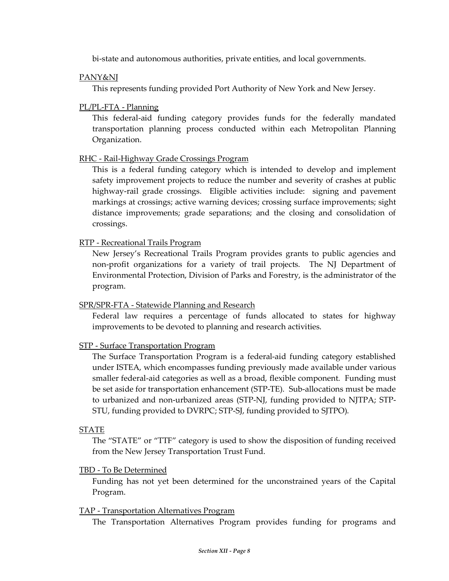bi-state and autonomous authorities, private entities, and local governments.

#### PANY&NJ

This represents funding provided Port Authority of New York and New Jersey.

#### PL/PL‐FTA ‐ Planning

This federal-aid funding category provides funds for the federally mandated transportation planning process conducted within each Metropolitan Planning Organization.

#### RHC ‐ Rail‐Highway Grade Crossings Program

This is a federal funding category which is intended to develop and implement safety improvement projects to reduce the number and severity of crashes at public highway-rail grade crossings. Eligible activities include: signing and pavement markings at crossings; active warning devices; crossing surface improvements; sight distance improvements; grade separations; and the closing and consolidation of crossings.

#### RTP ‐ Recreational Trails Program

New Jersey's Recreational Trails Program provides grants to public agencies and non‐profit organizations for a variety of trail projects. The NJ Department of Environmental Protection, Division of Parks and Forestry, is the administrator of the program.

## SPR/SPR‐FTA ‐ Statewide Planning and Research

Federal law requires a percentage of funds allocated to states for highway improvements to be devoted to planning and research activities.

## STP ‐ Surface Transportation Program

The Surface Transportation Program is a federal‐aid funding category established under ISTEA, which encompasses funding previously made available under various smaller federal-aid categories as well as a broad, flexible component. Funding must be set aside for transportation enhancement (STP‐TE). Sub‐allocations must be made to urbanized and non‐urbanized areas (STP‐NJ, funding provided to NJTPA; STP‐ STU, funding provided to DVRPC; STP‐SJ, funding provided to SJTPO).

#### STATE

The "STATE" or "TTF" category is used to show the disposition of funding received from the New Jersey Transportation Trust Fund.

#### TBD ‐ To Be Determined

Funding has not yet been determined for the unconstrained years of the Capital Program.

#### TAP ‐ Transportation Alternatives Program

The Transportation Alternatives Program provides funding for programs and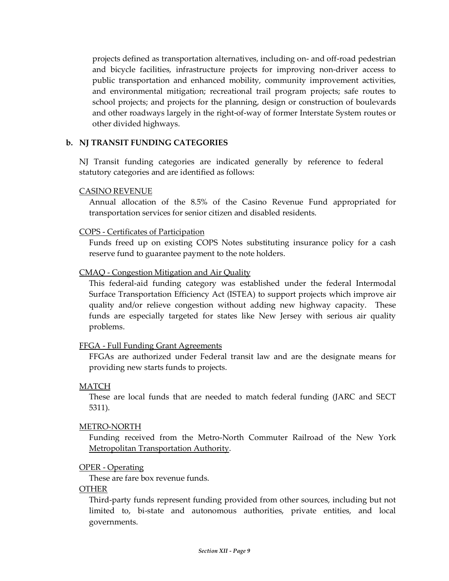projects defined as transportation alternatives, including on‐ and off‐road pedestrian and bicycle facilities, infrastructure projects for improving non‐driver access to public transportation and enhanced mobility, community improvement activities, and environmental mitigation; recreational trail program projects; safe routes to school projects; and projects for the planning, design or construction of boulevards and other roadways largely in the right‐of‐way of former Interstate System routes or other divided highways.

#### **b. NJ TRANSIT FUNDING CATEGORIES**

NJ Transit funding categories are indicated generally by reference to federal statutory categories and are identified as follows:

#### CASINO REVENUE

Annual allocation of the 8.5% of the Casino Revenue Fund appropriated for transportation services for senior citizen and disabled residents.

#### COPS ‐ Certificates of Participation

Funds freed up on existing COPS Notes substituting insurance policy for a cash reserve fund to guarantee payment to the note holders.

## CMAQ ‐ Congestion Mitigation and Air Quality

This federal-aid funding category was established under the federal Intermodal Surface Transportation Efficiency Act (ISTEA) to support projects which improve air quality and/or relieve congestion without adding new highway capacity. These funds are especially targeted for states like New Jersey with serious air quality problems.

## FFGA ‐ Full Funding Grant Agreements

FFGAs are authorized under Federal transit law and are the designate means for providing new starts funds to projects.

#### MATCH

These are local funds that are needed to match federal funding (JARC and SECT 5311).

#### METRO‐NORTH

Funding received from the Metro‐North Commuter Railroad of the New York Metropolitan Transportation Authority.

#### OPER ‐ Operating

These are fare box revenue funds.

#### **OTHER**

Third‐party funds represent funding provided from other sources, including but not limited to, bi-state and autonomous authorities, private entities, and local governments.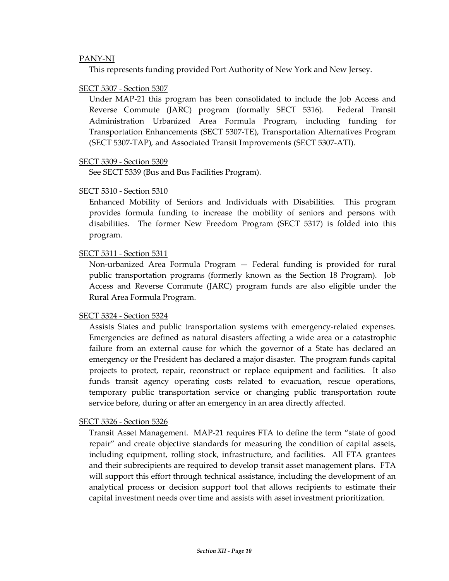#### PANY‐NJ

This represents funding provided Port Authority of New York and New Jersey.

#### SECT 5307 ‐ Section 5307

Under MAP‐21 this program has been consolidated to include the Job Access and Reverse Commute (JARC) program (formally SECT 5316). Federal Transit Administration Urbanized Area Formula Program, including funding for Transportation Enhancements (SECT 5307‐TE), Transportation Alternatives Program (SECT 5307‐TAP), and Associated Transit Improvements (SECT 5307‐ATI).

#### SECT 5309 ‐ Section 5309

See SECT 5339 (Bus and Bus Facilities Program).

#### SECT 5310 ‐ Section 5310

Enhanced Mobility of Seniors and Individuals with Disabilities. This program provides formula funding to increase the mobility of seniors and persons with disabilities. The former New Freedom Program (SECT 5317) is folded into this program.

#### SECT 5311 ‐ Section 5311

Non‐urbanized Area Formula Program — Federal funding is provided for rural public transportation programs (formerly known as the Section 18 Program). Job Access and Reverse Commute (JARC) program funds are also eligible under the Rural Area Formula Program.

#### SECT 5324 ‐ Section 5324

Assists States and public transportation systems with emergency‐related expenses. Emergencies are defined as natural disasters affecting a wide area or a catastrophic failure from an external cause for which the governor of a State has declared an emergency or the President has declared a major disaster. The program funds capital projects to protect, repair, reconstruct or replace equipment and facilities. It also funds transit agency operating costs related to evacuation, rescue operations, temporary public transportation service or changing public transportation route service before, during or after an emergency in an area directly affected.

#### SECT 5326 ‐ Section 5326

Transit Asset Management. MAP‐21 requires FTA to define the term "state of good repair" and create objective standards for measuring the condition of capital assets, including equipment, rolling stock, infrastructure, and facilities. All FTA grantees and their subrecipients are required to develop transit asset management plans. FTA will support this effort through technical assistance, including the development of an analytical process or decision support tool that allows recipients to estimate their capital investment needs over time and assists with asset investment prioritization.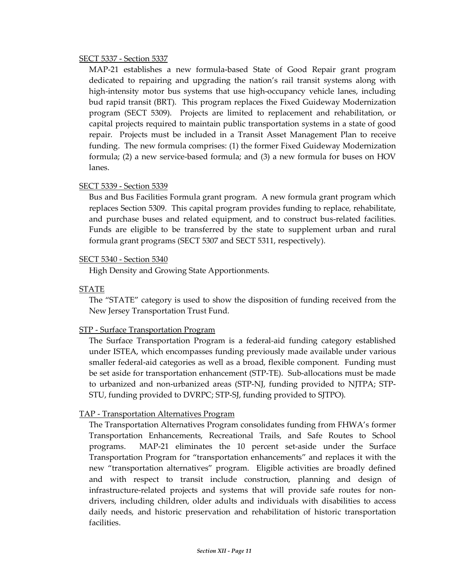#### SECT 5337 ‐ Section 5337

MAP‐21 establishes a new formula‐based State of Good Repair grant program dedicated to repairing and upgrading the nation's rail transit systems along with high-intensity motor bus systems that use high-occupancy vehicle lanes, including bud rapid transit (BRT). This program replaces the Fixed Guideway Modernization program (SECT 5309). Projects are limited to replacement and rehabilitation, or capital projects required to maintain public transportation systems in a state of good repair. Projects must be included in a Transit Asset Management Plan to receive funding. The new formula comprises: (1) the former Fixed Guideway Modernization formula; (2) a new service‐based formula; and (3) a new formula for buses on HOV lanes.

## SECT 5339 ‐ Section 5339

Bus and Bus Facilities Formula grant program. A new formula grant program which replaces Section 5309. This capital program provides funding to replace, rehabilitate, and purchase buses and related equipment, and to construct bus‐related facilities. Funds are eligible to be transferred by the state to supplement urban and rural formula grant programs (SECT 5307 and SECT 5311, respectively).

#### SECT 5340 ‐ Section 5340

High Density and Growing State Apportionments.

#### STATE

The "STATE" category is used to show the disposition of funding received from the New Jersey Transportation Trust Fund.

## STP ‐ Surface Transportation Program

The Surface Transportation Program is a federal‐aid funding category established under ISTEA, which encompasses funding previously made available under various smaller federal-aid categories as well as a broad, flexible component. Funding must be set aside for transportation enhancement (STP‐TE). Sub‐allocations must be made to urbanized and non‐urbanized areas (STP‐NJ, funding provided to NJTPA; STP‐ STU, funding provided to DVRPC; STP‐SJ, funding provided to SJTPO).

## TAP ‐ Transportation Alternatives Program

The Transportation Alternatives Program consolidates funding from FHWA's former Transportation Enhancements, Recreational Trails, and Safe Routes to School programs. MAP‐21 eliminates the 10 percent set‐aside under the Surface Transportation Program for "transportation enhancements" and replaces it with the new "transportation alternatives" program. Eligible activities are broadly defined and with respect to transit include construction, planning and design of infrastructure-related projects and systems that will provide safe routes for nondrivers, including children, older adults and individuals with disabilities to access daily needs, and historic preservation and rehabilitation of historic transportation facilities.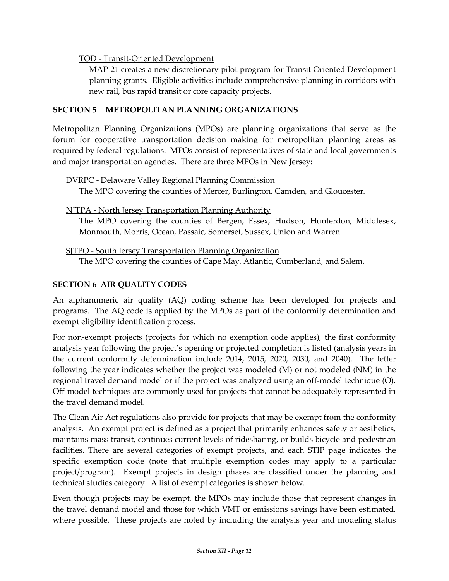## TOD ‐ Transit‐Oriented Development

MAP‐21 creates a new discretionary pilot program for Transit Oriented Development planning grants. Eligible activities include comprehensive planning in corridors with new rail, bus rapid transit or core capacity projects.

## **SECTION 5 METROPOLITAN PLANNING ORGANIZATIONS**

Metropolitan Planning Organizations (MPOs) are planning organizations that serve as the forum for cooperative transportation decision making for metropolitan planning areas as required by federal regulations. MPOs consist of representatives of state and local governments and major transportation agencies. There are three MPOs in New Jersey:

## DVRPC ‐ Delaware Valley Regional Planning Commission

The MPO covering the counties of Mercer, Burlington, Camden, and Gloucester.

## NJTPA ‐ North Jersey Transportation Planning Authority

The MPO covering the counties of Bergen, Essex, Hudson, Hunterdon, Middlesex, Monmouth, Morris, Ocean, Passaic, Somerset, Sussex, Union and Warren.

SJTPO ‐ South Jersey Transportation Planning Organization The MPO covering the counties of Cape May, Atlantic, Cumberland, and Salem.

## **SECTION 6 AIR QUALITY CODES**

An alphanumeric air quality (AQ) coding scheme has been developed for projects and programs. The AQ code is applied by the MPOs as part of the conformity determination and exempt eligibility identification process.

For non-exempt projects (projects for which no exemption code applies), the first conformity analysis year following the project's opening or projected completion is listed (analysis years in the current conformity determination include 2014, 2015, 2020, 2030, and 2040). The letter following the year indicates whether the project was modeled (M) or not modeled (NM) in the regional travel demand model or if the project was analyzed using an off-model technique (O). Off‐model techniques are commonly used for projects that cannot be adequately represented in the travel demand model.

The Clean Air Act regulations also provide for projects that may be exempt from the conformity analysis. An exempt project is defined as a project that primarily enhances safety or aesthetics, maintains mass transit, continues current levels of ridesharing, or builds bicycle and pedestrian facilities. There are several categories of exempt projects, and each STIP page indicates the specific exemption code (note that multiple exemption codes may apply to a particular project/program). Exempt projects in design phases are classified under the planning and technical studies category. A list of exempt categories is shown below.

Even though projects may be exempt, the MPOs may include those that represent changes in the travel demand model and those for which VMT or emissions savings have been estimated, where possible. These projects are noted by including the analysis year and modeling status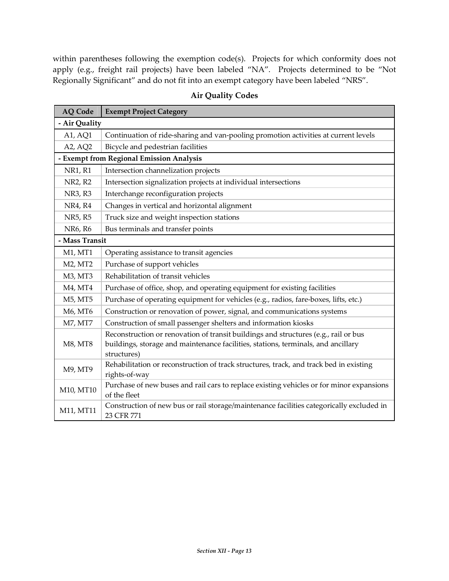within parentheses following the exemption code(s). Projects for which conformity does not apply (e.g., freight rail projects) have been labeled "NA". Projects determined to be "Not Regionally Significant" and do not fit into an exempt category have been labeled "NRS".

| <b>AQ Code</b>                           | <b>Exempt Project Category</b>                                                                                                                                                          |
|------------------------------------------|-----------------------------------------------------------------------------------------------------------------------------------------------------------------------------------------|
| - Air Quality                            |                                                                                                                                                                                         |
| A1, AQ1                                  | Continuation of ride-sharing and van-pooling promotion activities at current levels                                                                                                     |
| A2, AQ2                                  | Bicycle and pedestrian facilities                                                                                                                                                       |
| - Exempt from Regional Emission Analysis |                                                                                                                                                                                         |
| <b>NR1, R1</b>                           | Intersection channelization projects                                                                                                                                                    |
| NR2, R2                                  | Intersection signalization projects at individual intersections                                                                                                                         |
| NR3, R3                                  | Interchange reconfiguration projects                                                                                                                                                    |
| NR4, R4                                  | Changes in vertical and horizontal alignment                                                                                                                                            |
| NR5, R5                                  | Truck size and weight inspection stations                                                                                                                                               |
| NR6, R6                                  | Bus terminals and transfer points                                                                                                                                                       |
| - Mass Transit                           |                                                                                                                                                                                         |
| M1, MT1                                  | Operating assistance to transit agencies                                                                                                                                                |
| M2, MT2                                  | Purchase of support vehicles                                                                                                                                                            |
| M3, MT3                                  | Rehabilitation of transit vehicles                                                                                                                                                      |
| M4, MT4                                  | Purchase of office, shop, and operating equipment for existing facilities                                                                                                               |
| M5, MT5                                  | Purchase of operating equipment for vehicles (e.g., radios, fare-boxes, lifts, etc.)                                                                                                    |
| M6, MT6                                  | Construction or renovation of power, signal, and communications systems                                                                                                                 |
| M7, MT7                                  | Construction of small passenger shelters and information kiosks                                                                                                                         |
| M8, MT8                                  | Reconstruction or renovation of transit buildings and structures (e.g., rail or bus<br>buildings, storage and maintenance facilities, stations, terminals, and ancillary<br>structures) |
| M9, MT9                                  | Rehabilitation or reconstruction of track structures, track, and track bed in existing<br>rights-of-way                                                                                 |
| M10, MT10                                | Purchase of new buses and rail cars to replace existing vehicles or for minor expansions<br>of the fleet                                                                                |
| M11, MT11                                | Construction of new bus or rail storage/maintenance facilities categorically excluded in<br>23 CFR 771                                                                                  |

## **Air Quality Codes**